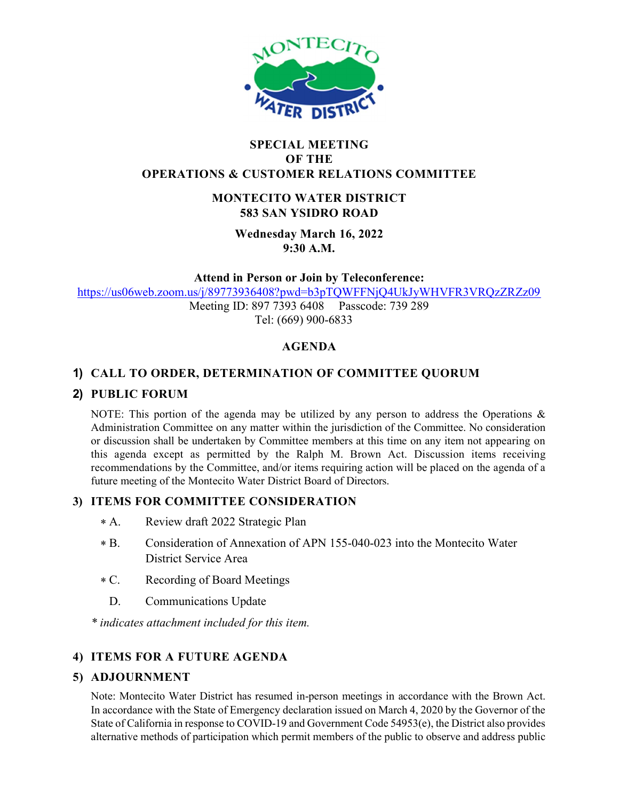

#### SPECIAL MEETING OF THE OPERATIONS & CUSTOMER RELATIONS COMMITTEE

## MONTECITO WATER DISTRICT 583 SAN YSIDRO ROAD

Wednesday March 16, 2022 9:30 A.M.

Attend in Person or Join by Teleconference:

https://us06web.zoom.us/j/89773936408?pwd=b3pTQWFFNjQ4UkJyWHVFR3VRQzZRZz09

Meeting ID: 897 7393 6408 Passcode: 739 289 Tel: (669) 900-6833

## AGENDA

# 1) CALL TO ORDER, DETERMINATION OF COMMITTEE QUORUM

## 2) PUBLIC FORUM

NOTE: This portion of the agenda may be utilized by any person to address the Operations  $\&$ Administration Committee on any matter within the jurisdiction of the Committee. No consideration or discussion shall be undertaken by Committee members at this time on any item not appearing on this agenda except as permitted by the Ralph M. Brown Act. Discussion items receiving recommendations by the Committee, and/or items requiring action will be placed on the agenda of a future meeting of the Montecito Water District Board of Directors.

## 3) ITEMS FOR COMMITTEE CONSIDERATION

- $* A$ . Review draft 2022 Strategic Plan
- $*R$ B. Consideration of Annexation of APN 155-040-023 into the Montecito Water District Service Area
- $*C.$ Recording of Board Meetings
- D. Communications Update

\* indicates attachment included for this item.

## 4) ITEMS FOR A FUTURE AGENDA

#### 5) ADJOURNMENT

Note: Montecito Water District has resumed in-person meetings in accordance with the Brown Act. In accordance with the State of Emergency declaration issued on March 4, 2020 by the Governor of the State of California in response to COVID-19 and Government Code 54953(e), the District also provides alternative methods of participation which permit members of the public to observe and address public